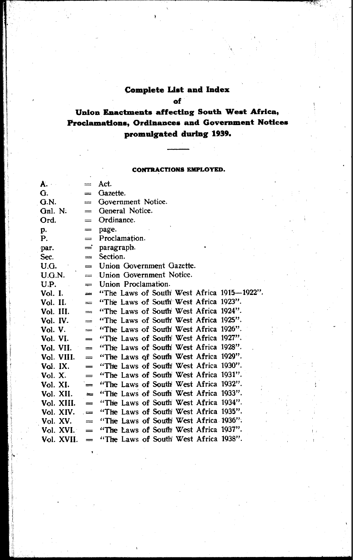#### **Complete List and Index**

**of** 

#### **Union Enactments affecting South West Africa,** Proclamations, Ordinances and Government Notices **promulgated during 1939.**

#### **CONTRACTIONS EMPLOYED.**

| A.         | $\equiv$                | Act.                                       |
|------------|-------------------------|--------------------------------------------|
| G.         | $=$                     | Gazette.                                   |
| G.N.       | $=$                     | Government Notice.                         |
| Gnl. N.    |                         | $=$ General Notice.                        |
| Ord.       | $\qquad \qquad =$       | Ordinance.                                 |
| p.         | $=$                     | page.                                      |
| Р.         | $\qquad \qquad =\qquad$ | Proclamation.                              |
| par.       | =                       | paragraph.                                 |
| Sec.       | and a                   | Section.                                   |
| U.G.       | $=$                     | Union Government Gazette.                  |
| U.G.N.     | $=$                     | Union Government Notice.                   |
| U.P.       | $=$                     | Union Proclamation.                        |
| Vol. I.    | and .                   | "The Laws of South West Africa 1915-1922". |
| Vol. II.   | $=$                     | "The Laws of South West Africa 1923".      |
| Vol. III.  | and a                   | "The Laws of South West Africa 1924".      |
| Vol. IV.   | =                       | "The Laws of South' West Africa 1925".     |
| Vol. V.    | $=$                     | "The Laws of South' West Africa 1926".     |
| Vol. VI.   | $=$                     | "The Laws of South West Africa 1927".      |
| Vol. VII.  | $=$                     | "The Laws of South West Africa 1928".      |
| Vol. VIII. | $\equiv$                | "The Laws of South West Africa 1929".      |
| Vol. IX.   | $=$                     | "The Laws of South West Africa 1930".      |
| Vol. X.    | $=$                     | "The Laws of South West Africa 1931".      |
| Vol. XI.   | $=$                     | "The Laws of South West Africa 1932".      |
| Vol. XII.  | $=$                     | "The Laws of South West Africa 1933".      |
| Vol. XIII. | $\equiv$                | "The Laws of South West Africa 1934".      |
| Vol. XIV.  | $=$                     | "The Laws of South West Africa 1935".      |
| Vol. XV.   | $=$                     | "The Laws of South West Africa 1936".      |
| Vol. XVI.  | $=$                     | "The Laws of South West Africa 1937".      |
| Vol. XVII. | $=$                     | "The Laws of South' West Africa 1938".     |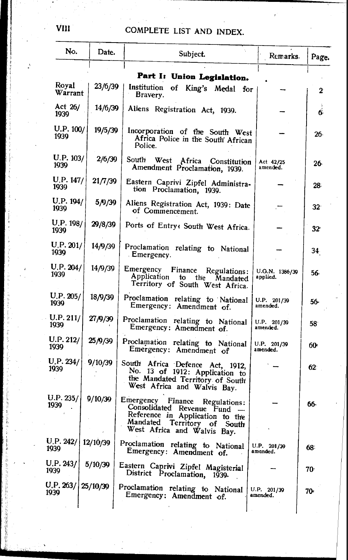| No.               | Date.    | Subject.                                                                                                                                                                 | Remarks.                   | Page.           |
|-------------------|----------|--------------------------------------------------------------------------------------------------------------------------------------------------------------------------|----------------------------|-----------------|
|                   |          | Part I: Union Legislation.                                                                                                                                               |                            |                 |
| Royal<br>Warrant  | 23/6/39  | Institution<br>of King's Medal for<br>Bravery.                                                                                                                           |                            | 2               |
| Act 26/<br>1939   | 14/6/39  | Aliens Registration Act, 1939.                                                                                                                                           |                            | 6.              |
| U.P. 100/<br>1939 | 19/5/39  | Incorporation of the South West<br>Africa Police in the South African<br>Police.                                                                                         |                            | 26.             |
| U.P. 103/<br>1939 | 2/6/39   | South<br>West<br>Africa<br>Constitution<br>Amendment Proclamation, 1939.                                                                                                 | Act 42/25<br>amended.      | 26.             |
| U.P. 147/<br>1939 | 21/7/39  | Eastern Caprivi Zipfel Administra-<br>tion Proclamation, 1939.                                                                                                           |                            | 28.             |
| U.P. 194/<br>1939 | 5/9/39   | Aliens Registration Act, 1939: Date<br>of Commencement.                                                                                                                  |                            | 32 <sup>.</sup> |
| U.P. 198/<br>1939 | 29/8/39  | Ports of Entry: South West Africa.                                                                                                                                       |                            | 32              |
| U.P. 201/<br>1939 | 14/9/39  | Proclamation relating to National<br>Emergency.                                                                                                                          |                            | 34              |
| U.P. 204/<br>1939 | 14/9/39  | Emergency Finance Regulations:<br>Application to the Mandated<br>Territory of South West Africa.                                                                         | U.G.N. 1386/39<br>applied. | 56.             |
| U.P. 205/<br>1939 | 18/9/39  | Proclamation relating to National<br>Emergency: Amendment of.                                                                                                            | U.P. 201/39<br>amended.    | 56.             |
| U.P. 211/<br>1939 | 27/9/39  | Proclamation relating to National<br>Emergency: Amendment of.                                                                                                            | U.P. 201/39<br>amended.    | 58              |
| U.P. 212/<br>1939 | 25/9/39  | Proclamation relating to National<br>Emergency: Amendment of                                                                                                             | U.P. 201/39<br>amended.    | 60.             |
| U.P. 234/<br>1939 | 9/10/39  | South Africa Defence Act, 1912,<br>No. 13 of 1912: Application to<br>the Mandated Territory of South<br>West Africa and Walvis Bay.                                      |                            | 62.             |
| U.P. 235/<br>1939 | 9/10/39  | Emergency<br>Finance<br>Regulations:<br>Consolidated Revenue Fund<br>Reference in Application to the<br>Mandated Territory<br>οf<br>South<br>West Africa and Walvis Bay. |                            | 66-             |
| U.P. 242/<br>1939 | 12/10/39 | Proclamation relating to National<br>Emergency: Amendment of.                                                                                                            | U.P. 201/39<br>amended.    | 68:             |
| U.P. 243/<br>1939 | 5/10/39  | Eastern Caprivi Zipfel Magisterial<br>District Proclamation, 1939.                                                                                                       |                            | 70.             |
| J.P. 263/<br>1939 | 25/10/39 | Proclamation relating to National<br>Emergency: Amendment of.                                                                                                            | U.P. 201/39<br>amended.    | 70-             |
|                   |          |                                                                                                                                                                          |                            |                 |

**VIII**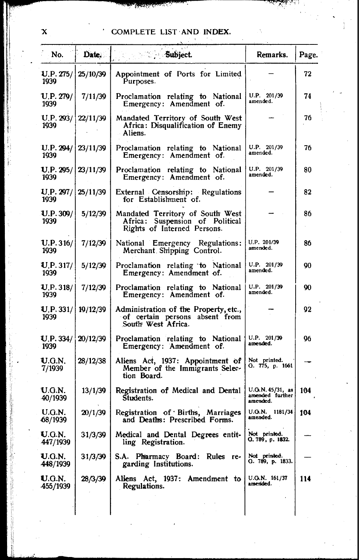| No.                                 | Date.    | <b>Subject.</b>                                                                                    | Remarks.                                        | Page. |
|-------------------------------------|----------|----------------------------------------------------------------------------------------------------|-------------------------------------------------|-------|
| U.P. 275/<br>1939                   | 25/10/39 | Appointment of Ports for Limited<br>Purposes.                                                      |                                                 | 72    |
| U.P. 279/<br>1939                   | 7/11/39  | Proclamation relating to National<br>Emergency: Amendment of.                                      | U.P. 201/39<br>amended.                         | 74    |
| U.P. 293/<br>1939                   | 22/11/39 | Mandated Territory of South West<br>Africa: Disqualification of Enemy<br>- Aliens.                 |                                                 | 76    |
| U.P. 294/<br>1939                   | 23/11/39 | Proclamation relating to National<br>Emergency: Amendment of.                                      | U.P. 201/39<br>amended.                         | 76    |
| <b>U.P.</b> 295/   23/11/39<br>1939 |          | Proclamation relating to National<br>Emergency: Amendment of.                                      | U.P. 201/39<br>amended.                         | 80    |
| U.P. 297/1<br>1939                  | 25/11/39 | External Censorship: Regulations<br>for Establishment of.                                          |                                                 | 82    |
| U.P. 309/<br>1939                   | 5/12/39  | Mandated Territory of South West<br>Africa: Suspension of Political<br>Rights of Interned Persons. |                                                 | 86    |
| U.P.316/<br>1939                    | 7/12/39  | National Emergency Regulations:<br>Merchant Shipping Control.                                      | U.P. 201/39<br>amended.                         | 86    |
| $U$ . P. 317/<br>1939               | 5/12/39  | Proclamation relating to National<br>Emergency: Amendment of.                                      | U.P. 201/39<br>amended.                         | 90    |
| U.P.318/<br>1939                    | 7/12/39  | Proclamation relating to National<br>Emergency: Amendment of.                                      | U.P. 201/39<br>amended.                         | 90    |
| <b>U.P.</b> 331/<br>1939            | 19/12/39 | Administration of the Property, etc.,<br>of certain persons absent from<br>South West Africa.      |                                                 | 92    |
| <b>U.P.</b> 334/<br>1939            | 20/12/39 | Proclamation relating to National<br>Emergency: Amendment of.                                      | U.P. 201/39<br>amended.                         | 96    |
| U.G.N.<br>7/1939                    | 28/12/38 | Aliens Act, 1937: Appointment of<br>Member of the Immigrants Selec-<br>tion Board.                 | Not printed.<br>G. 775, p. 1661                 |       |
| U.G.N.<br>40/1939                   | 13/1/39  | Registration of Medical and Dental<br>Students.                                                    | U.O.N. 45/31, as<br>amended further<br>amended. | 104   |
| U.G.N.<br>-68/1939                  | 20/1/39  | Registration of Births, Marriages<br>and Deaths: Prescribed Forms.                                 | U.G.N. 1181/34<br>amended.                      | 104   |
| U.G.N.<br>447/1939                  | 31/3/39  | Medical and Dental Degrees entit-<br>ling Registration.                                            | Not printed.<br>Q. 789, p. 1832.                |       |
| U.G.N.<br>448/1939                  | 31/3/39  | S.A. Pharmacy Board: Rules re-<br>garding Institutions.                                            | Not printed.<br>G. 789, p. 1833.                |       |
| U.G.N.<br>455/1939                  | 28/3/39  | Aliens Act, 1937: Amendment to<br>Regulations.                                                     | U.G.N. 161/37<br>amended.                       | 114   |
|                                     |          |                                                                                                    |                                                 |       |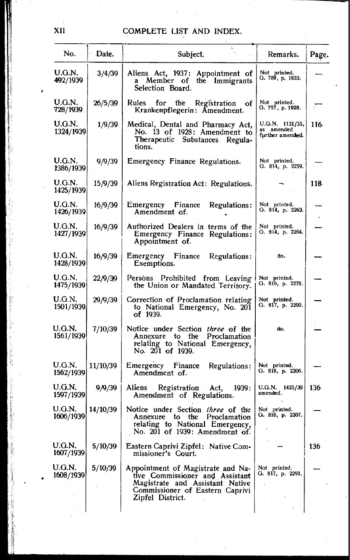| No.                       | Date.    | Subject.                                                                                                                                                       | Remarks.                                          | Page. |
|---------------------------|----------|----------------------------------------------------------------------------------------------------------------------------------------------------------------|---------------------------------------------------|-------|
| U.G.N.<br>492/1939        | 3/4/39   | Aliens Act, 1937: Appointment of<br>a Member of<br>the Immigrants<br>Selection Board.                                                                          | Not printed.<br>G. 789, p. 1833.                  |       |
| <b>U.G.N.</b><br>728/1939 | 26/5/39  | Rules<br>Registration of<br>for the<br>Krankenpflegerin: Amendment.                                                                                            | Not printed.<br>G. 797, p. 1928.                  |       |
| U.G.N.<br>1324/1939       | 1/9/39   | Medical, Dental and Pharmacy Act,<br>No. 13 of 1928: Amendment to<br>Therapeutic Substances<br>Regula-<br>tions.                                               | U.G.N. 1131/35,<br>as amended<br>further amended. | 116   |
| U.G.N.<br>1386/1939       | 9/9/39   | Emergency Finance Regulations.                                                                                                                                 | Not printed.<br>G. 814, p. 2259.                  |       |
| U.G.N.<br>1425/1939       | 15/9/39  | Aliens Registration Act: Regulations.                                                                                                                          |                                                   | 118   |
| U.G.N.<br>1426/1939       | 16/9/39  | Emergency Finance<br>Regulations:<br>Amendment of.                                                                                                             | Not printed.<br>G. 814, p. 2263.                  |       |
| U.G.N.<br>1427/1939       | 16/9/39  | Authorized Dealers in terms of the<br>Emergency Finance Regulations:<br>Appointment of.                                                                        | Not printed.<br>G. 814, p. 2264.                  |       |
| U.G.N.<br>1428/1939       | 16/9/39  | Emergency Finance<br>Regulations:<br>Exemptions.                                                                                                               | do.                                               |       |
| U.G.N.<br>1475/1939       | 22/9/39  | Persons Prohibited from Leaving<br>the Union or Mandated Territory.                                                                                            | Not printed.<br>O. 816, p. 2278.                  |       |
| U.G.N.<br>1501/1939       | 29/9/39  | Correction of Proclamation relating<br>to National Emergency, No. 201<br>of 1939.                                                                              | Not printed.<br>G. 817, p. 2290.                  |       |
| U.G.N.<br>1561/1939       | 7/10/39  | Notice under Section three of the<br>Annexure to the Proclamation<br>relating to National Emergency,<br>No. 201 of 1939.                                       | do.                                               |       |
| U.G.N.<br>1562/1939       | 11/10/39 | Emergency Finance<br>Regulations:<br>Amendment of.                                                                                                             | Not printed.<br>G. 818, p. 2306.                  |       |
| U.G.N.<br>1597/1939       | 9/9/39   | Aliens<br>Registration Act,<br>1939:<br>Amendment of Regulations.                                                                                              | U.G.N. 1425/39  <br>amended.                      | 136   |
| U.G.N.<br>1606/1939       | 14/10/39 | Notice under Section three of the<br>Annexure to the Proclamation<br>relating to National Emergency,<br>No. 201 of 1939: Amendment of.                         | Not printed.<br>G. 818, p. 2307.                  |       |
| U.G.N.<br>1607/1939       | 5/10/39  | Eastern Caprivi Zipfel: Native Com-<br>missioner's Court.                                                                                                      |                                                   | 136   |
| U.G.N.<br>1608/1939       | 5/10/39  | Appointment of Magistrate and Na-<br>tive Commissioner and Assistant<br>Magistrate and Assistant Native<br>Commissioner of Eastern Caprivi<br>Zipfel District. | Not printed.<br>G. 817, p. 2291.                  |       |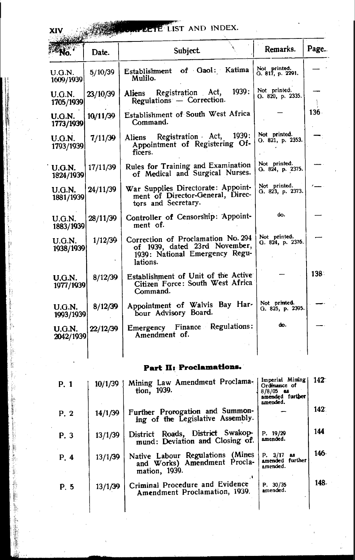# **AND INDEX.**

|                            | Date.    | <b>Subject</b>                                                                                                    | Remarks.                         | Page.   |
|----------------------------|----------|-------------------------------------------------------------------------------------------------------------------|----------------------------------|---------|
| U.G.N.<br>1609/1939        | 5/10/39  | of Gaol: Katima<br>Establishment<br>Mulilo.                                                                       | Not printed.<br>G. 817, p. 2291. |         |
| U.G.N.<br>1705/1939        | 23/10/39 | 1939:<br>Registration Act,<br>Aliens<br>Regulations - Correction.                                                 | Not printed.<br>Q.820, p.2335.   |         |
| <b>U.G.N.</b><br>1773/1939 | 10/11/39 | Establishment of South West Africa<br>Command.                                                                    |                                  | $136 -$ |
| <b>U.G.N.</b><br>1793/1939 | 7/11/39  | 1939 :<br>Registration Act,<br>Aliens<br>Appointment of Registering Of-<br>ficers.                                | Not printed.<br>G. 821, p. 2353. |         |
| U.G.N.<br>1824/1939        | 17/11/39 | Rules for Training and Examination<br>of Medical and Surgical Nurses.                                             | Not printed.<br>G. 824, p. 2375. |         |
| <b>U.G.N.</b><br>1881/1939 | 24/11/39 | War Supplies Directorate: Appoint-<br>ment of Director-General, Direc-<br>tors and Secretary.                     | Not printed.<br>G. 823, p. 2373. |         |
| U.G.N.<br>1883/1939        | 28/11/39 | Controller of Censorship: Appoint-<br>ment of.                                                                    | do.                              |         |
| U.G.N.<br>1938/1939        | 1/12/39  | Correction of Proclamation No. 294<br>of 1939, dated 23rd November,<br>1939: National Emergency Regu-<br>lations. | Not printed.<br>G. 824, p. 2376. |         |
| <b>U.G.N.</b><br>1977/1939 | 8/12/39  | Establishment of Unit of the Active<br>Citizen Force: South West Africa<br>Command.                               |                                  | $138 -$ |
| U.G.N.<br>1993/1939        | 8/12/39  | Appointment of Walvis Bay Har-<br>bour Advisory Board.                                                            | Not printed.<br>G. 825, p. 2395. |         |
| U.G.N.<br>2042/1939        | 22/12/39 | Emergency Finance Regulations:<br>Amendment of.                                                                   | do.                              |         |

### Part II: Proclamations.

| P. 1 | 10/1/39 | Mining Law Amendment Proclama-<br>tion, 1939.                                     | Imperial Mining<br>Ordinance of<br>$8/8/05$ as<br>amended further<br>amended. | $142^-$ |
|------|---------|-----------------------------------------------------------------------------------|-------------------------------------------------------------------------------|---------|
| P. 2 | 14/1/39 | Further Prorogation and Summon-<br>ing of the Legislative Assembly.               |                                                                               | 142.    |
| P. 3 | 13/1/39 | District Roads, District Swakop-<br>mund: Deviation and Closing of.               | P. 19/29<br>amended.                                                          | 144     |
| P. 4 | 13/1/39 | Native Labour Regulations (Mines<br>and Works) Amendment Procla-<br>mation, 1939. | P. 3/17<br><b>as</b><br>amended further<br>amended.                           | 146-    |
| P.5  | 13/1/39 | Criminal Procedure and Evidence<br>Amendment Proclamation, 1939.                  | P. 30/35<br>amended.                                                          | 148.    |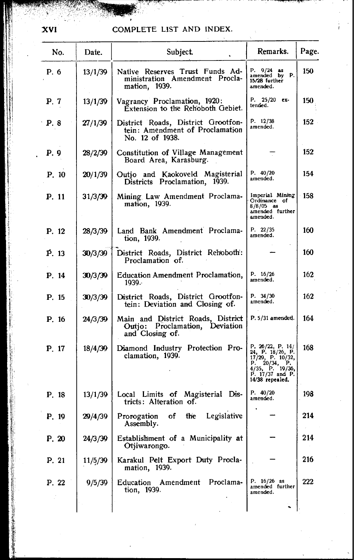| No.   | Date.   | Subject.                                                                                 | Remarks.                                                                                                                             | Page. |
|-------|---------|------------------------------------------------------------------------------------------|--------------------------------------------------------------------------------------------------------------------------------------|-------|
| P. 6  | 13/1/39 | Native Reserves Trust Funds Ad-<br>ministration Amendment Procla-<br>mation, 1939.       | P. 9/24 as<br>amended by<br><b>P.</b><br>15/28 further<br>amended.                                                                   | 150   |
| P. 7  | 13/1/39 | Vagrancy Proclamation, 1920:<br>Extension to the Rehoboth Gebiet.                        | P. 25/20 ex-<br>tended.                                                                                                              | 150   |
| P. 8  | 27/1/39 | District Roads, District Grootfon-<br>tein: Amendment of Proclamation<br>No. 12 of 1938. | P. 12/38<br>amended.                                                                                                                 | 152   |
| P. 9  | 28/2/39 | Constitution of Village Management<br>Board Area, Karasburg.                             |                                                                                                                                      | 152   |
| P. 10 | 20/1/39 | Outjo and Kaokoveld Magisterial<br>Districts Proclamation, 1939.                         | P. 40/20<br>amended.                                                                                                                 | 154   |
| P. 11 | 31/3/39 | Mining Law Amendment Proclama-<br>mation, 1939.                                          | Imperial Mining<br>Ordinance of<br>$8/8/05$ as<br>amended further<br>amended.                                                        | 158   |
| P. 12 | 28/3/39 | Land Bank Amendment Proclama-<br>tion, 1939.                                             | P. 22/35<br>amended.                                                                                                                 | 160   |
| P. 13 | 30/3/39 | District Roads, District Rehoboth:<br>Proclamation of.                                   |                                                                                                                                      | 160   |
| P. 14 | 30/3/39 | Education Amendment Proclamation,<br>1939.                                               | P. $16/26$<br>amended.                                                                                                               | 162   |
| P. 15 | 30/3/39 | District Roads, District Grootfon-<br>tein: Deviation and Closing of.                    | P. 34/30<br>amended.                                                                                                                 | 162   |
| P. 16 | 24/3/39 | Main and District Roads, District<br>Outjo: Proclamation, Deviation<br>and Closing of.   | P. 5/31 amended.                                                                                                                     | 164   |
| P. 17 | 18/4/39 | Diamond Industry Protection Pro-<br>clamation, 1939.                                     | P. $26/22$ , P. 14/<br>24, P. 18/26, P.<br>17/29, P. 10/32,<br>P. 20/34, P.<br>4/35, P. 19/36,<br>P. 17/37 and P.<br>14/38 repealed. | 168   |
| P. 18 | 13/1/39 | Local Limits of Magisterial Dis-<br>tricts: Alteration of.                               | P. 40/20<br>amended.                                                                                                                 | 198   |
| P. 19 | 29/4/39 | Legislative<br>of<br>the<br>Prorogation<br>Assembly.                                     |                                                                                                                                      | 214   |
| P. 20 | 24/3/39 | Establishment of a Municipality at<br>Otjiwarongo.                                       |                                                                                                                                      | 214   |
| P. 21 | 11/5/39 | Karakul Pelt Export Duty Procla-<br>mation, 1939.                                        |                                                                                                                                      | 216   |
| P. 22 | 9/5/39  | Proclama-<br>Education Amendment<br>tion, 1939.                                          | P. $16/26$ as<br>amended further<br>amended.                                                                                         | 222   |
|       |         |                                                                                          |                                                                                                                                      |       |

xvi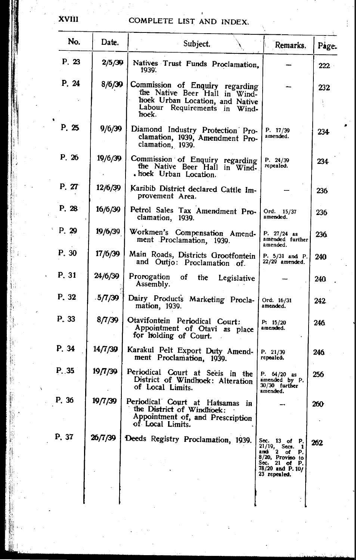| No.   | <b>Date.</b> | Subject.                                                                                                                                        | Remarks.                                                                                                                                    | Page. |
|-------|--------------|-------------------------------------------------------------------------------------------------------------------------------------------------|---------------------------------------------------------------------------------------------------------------------------------------------|-------|
| P.23  | 2/5/39       | Natives Trust Funds Proclamation,<br>1939.                                                                                                      |                                                                                                                                             | 222   |
| P. 24 | 8/6/39       | Commission of Enquiry regarding<br>the Native Beer Hall in Wind-<br>hoek Urban Location, and Native<br>Labour Requirements in<br>Wind-<br>hoek. |                                                                                                                                             | 232   |
| P. 25 | 9/6/39       | Diamond Industry Protection Pro-<br>clamation, 1939, Amendment Pro-<br>clamation, 1939.                                                         | P. 17/39<br>amended.                                                                                                                        | 234   |
| P. 26 | 19/6/39      | Commission of Enquiry regarding<br>the Native Beer Hall in Wind-<br>. hoek Urban Location.                                                      | P. 24/39<br>repealed.                                                                                                                       | 234   |
| P. 27 | 12/6/39      | Karibib District declared Cattle Im-<br>provement Area.                                                                                         |                                                                                                                                             | 236   |
| P.28  | 16/6/39      | Petrol Sales Tax Amendment Pro-<br>clamation, 1939.                                                                                             | Ord. 15/37<br>amended.                                                                                                                      | 236   |
| P. 29 | 19/6/39      | Workmen's Compensation Amend-<br>ment Proclamation, 1939.                                                                                       | P. $27/24$ as<br>amended further<br>amended.                                                                                                | 236   |
| P. 30 | 17/6/39      | Main Roads, Districts Grootfontein<br>and Outjo: Proclamation of.                                                                               | P. 5/31 and P.<br>22/29 amended.                                                                                                            | 240   |
| P. 31 | 24/6/39      | Prorogation<br>оf<br>the<br>Legislative<br>Assembly.                                                                                            |                                                                                                                                             | 240   |
| P. 32 | .5/7/39      | Dairy Products Marketing Procla-<br>mation, 1939.                                                                                               | Ord. 16/31<br>amended.                                                                                                                      | 242   |
| P. 33 | 8/7/39       | Otavifontein Periodical Court:<br>Appointment of Otavi as place<br>for holding of Court.                                                        | P: 15/20<br>amended.                                                                                                                        | 246   |
| P. 34 | 14/7/39      | Karakul Pelt Export Duty Amend-<br>ment Proclamation, 1939.                                                                                     | P. 21/39<br>repealed.                                                                                                                       | 246   |
| P.35  | 19/7/39      | Periodical Court at Seeis in the<br>District of Windhoek: Alteration<br>of Local Limits.                                                        | P. $64/20$ as<br>amended by P.<br>30/30 further<br>amended.                                                                                 | 256   |
| P. 36 | 19/7/39      | Periodical Court at Hatsamas in<br>the District of Windhoek:<br>Appointment of, and Prescription<br>of Local Limits.                            |                                                                                                                                             | 260   |
| P. 37 | 26/7/39      | Deeds Registry Proclamation, 1939.                                                                                                              | Sec. 13 of P.<br>$21/19$ , Secs.<br>$\mathbf{r}$<br>ando 2 of<br>Р.<br>8/20, Proviso to<br>Sec. 21 of P.<br>78/20 and P.10/<br>23 repealed. | 262   |
|       |              |                                                                                                                                                 |                                                                                                                                             |       |

XVIII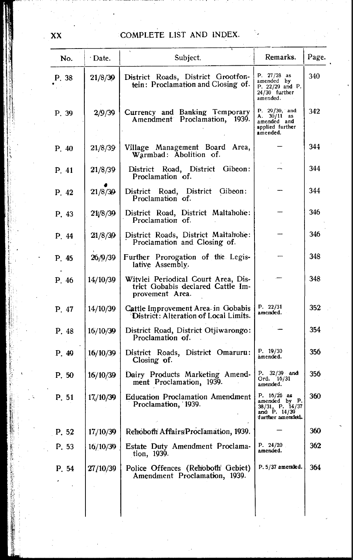| No.   | ∙ Date.  | Subject.                                                                                    | Remarks.                                                                               | Page. |
|-------|----------|---------------------------------------------------------------------------------------------|----------------------------------------------------------------------------------------|-------|
| P. 38 | 21/8/39  | District Roads, District Grootfon-<br>tein: Proclamation and Closing of.                    | P. $27/28$ as<br>amended by<br>P. $22/29$ and P.<br>$24/30$ further<br>amended.        | 340   |
| P. 39 | 2/9/39   | Currency and Banking Temporary<br>Amendment Proclamation, 1939.                             | P. $29/30$ , and<br>A. $30/11$ as<br>amended and<br>applied further<br>amended.        | 342   |
| P.40  | 21/8/39  | Village Management Board Area,<br>Warmbad: Abolition of.                                    |                                                                                        | 344   |
| P. 41 | 21/8/39  | District Road, District Gibeon:<br>Proclamation of.                                         |                                                                                        | 344   |
| P. 42 | 21/8/39  | District Road, District Gibeon:<br>Proclamation of.                                         |                                                                                        | 344   |
| P. 43 | 21/8/39  | District Road, District Maltahohe:<br>Proclamation of.                                      |                                                                                        | 346   |
| P. 44 | 21/8/30  | District Roads, District Maltahohe:<br>Proclamation and Closing of.                         |                                                                                        | 346   |
| P. 45 | 26/9/39  | Further Prorogation of the Legis-<br>lative Assembly.                                       |                                                                                        | 348   |
| P. 46 | 14/10/39 | Witvlei Periodical Court Area, Dis-<br>trict Gobabis declared Cattle Im-<br>provement Area. |                                                                                        | 348   |
| P. 47 | 14/10/39 | Cattle Improvement Area in Gobabis<br>District: Alteration of Local Limits.                 | P. $22/31$<br>amended.                                                                 | 352   |
| P. 48 | 16/10/39 | District Road, District Otjiwarongo:<br>Proclamation of.                                    |                                                                                        | 354   |
| P. 49 | 16/10/39 | District Roads, District Omaruru:<br>Closing of.                                            | P. 19/30<br>amended.                                                                   | 356   |
| P.50  | 16/10/39 | Dairy Products Marketing Amend-<br>ment Proclamation, 1939.                                 | P. 32/39 and<br>Ord. 16/31<br>amended.                                                 | 356   |
| P. 51 | 17/10/39 | <b>Education Proclamation Amendment</b><br>Proclamation, 1939.                              | P. $16/26$ as<br>amended by P.<br>38/31, P. 14/37<br>amod P. 14/39<br>further amended. | 360   |
| P. 52 | 17/10/39 | Rehoboth Affairs Proclamation, 1939.                                                        |                                                                                        | 360   |
| P. 53 | 16/10/30 | Estate Duty Amendment Proclama-<br>tion, 1939.                                              | P. 24/20.<br>amended.                                                                  | 362   |
| P. 54 | 27/10/39 | Police Offences (Rehoboth Gebiet)<br>Amendment Proclamation, 1939.                          | P. 5/37 amended.                                                                       | 364   |
|       |          |                                                                                             |                                                                                        |       |

XX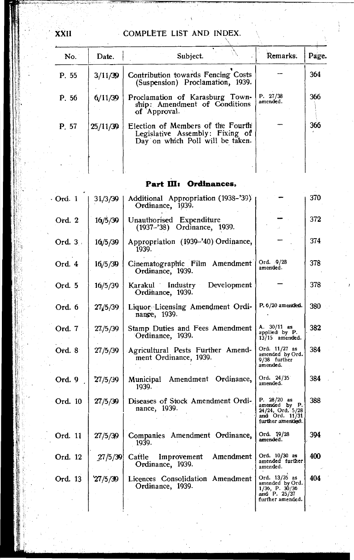| No.   | Date.    | Subject.                                                                                                 | Remarks.             | Page. |
|-------|----------|----------------------------------------------------------------------------------------------------------|----------------------|-------|
| P. 55 | 3/11/39  | Contribution towards Fencing Costs<br>(Suspension) Proclamation, 1939.                                   |                      | 364   |
| P. 56 | 6/11/39  | Proclamation of Karasburg Town-<br>ship: Amendment of Conditions<br>of Approval.                         | P. 27/38<br>amended. | 366   |
| P. 57 | 25/11/39 | Election of Members of the Fourth<br>Legislative Assembly: Fixing of<br>Day on which Poll will be taken. |                      | 366   |
|       |          |                                                                                                          |                      |       |

### Part III: Ordinances,

| Ord. 1     | 31/3/39 | Additional Appropriation (1938-'39)<br>Ordinance, 1939.    |                                                                                               | 370 |
|------------|---------|------------------------------------------------------------|-----------------------------------------------------------------------------------------------|-----|
| Ord. 2     | 16/5/39 | Unauthorised Expenditure<br>(1937–'38) Ordinance, 1939.    |                                                                                               | 372 |
| Ord. $3$ . | 16/5/39 | Appropriation (1939-'40) Ordinance,<br>1939.               |                                                                                               | 374 |
| Ord. 4     | 16/5/30 | Cinematographic Film Amendment<br>Ordinance, 1939.         | Ord. 9/28<br>amended.                                                                         | 378 |
| Ord. 5     | 16/5/39 | Karakul Industry Development<br>Ordinance, 1939.           |                                                                                               | 378 |
| Ord. 6     | 27/5/39 | Liquor Licensing Amendment Ordi-<br>nance, 1939.           | P. 6/20 amended.                                                                              | 380 |
| Ord. 7     | 27/5/39 | Stamp Duties and Fees Amendment<br>Ordinance, 1939.        | A. $30/11$ as<br>applied by P.<br>13/15 amended.                                              | 382 |
| Ord. 8     | 27/5/39 | Agricultural Pests Further Amend-<br>ment Ordinance, 1939. | Ord. 11/27 as<br>amended by Ord.<br>9/38 further<br>amended.                                  | 384 |
| Ord. 9     | 27/5/39 | Municipal Amendment Ordinance,<br>1939.                    | Ord. 24/35<br>amended.                                                                        | 384 |
| Ord. 10    | 27/5/39 | Diseases of Stock Amendment Ordi-<br>nance, 1939.          | P. 28/20 as<br>amended by P.<br>24/24, Ord. 5/28<br>amd Ord. 11/31<br>further amended.        | 388 |
| Ord. 11    | 27/5/39 | Companies Amendment Ordinance,<br>1939.                    | Ord. 19/28<br>amended.                                                                        | 394 |
| Ord. 12    | 27/5/39 | Cattle Improvement<br>Amendment<br>Ordinance, 1939.        | Ord. 10/30 as<br>amended further<br>amended.                                                  | 400 |
| Ord. 13    | 27/5/39 | Licences Consolidation Amendment<br>Ordinance, 1939.       | Ord. 13/35 as<br>amended by Ord.<br>$1/36$ , P. $30/36$<br>and P. $25/37$<br>further amended. | 404 |

XXII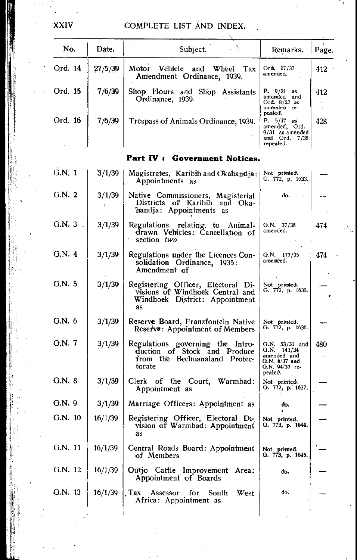| No.       | Date.   | Subject.                                                                                                      | Remarks.                                                                                     | Page. |
|-----------|---------|---------------------------------------------------------------------------------------------------------------|----------------------------------------------------------------------------------------------|-------|
| Ord. 14   | 27/5/39 | Motor Vehicle<br>and<br>Wheel<br>Tax<br>Amendment Ordinance, 1939.                                            | Ord. 17/37<br>amended.                                                                       | 412   |
| Ord. 15   | 7/6/39  | Shop Hours and Shop Assistants<br>Ordinance, 1939.                                                            | <b>P.</b> $9/21$ as<br>amended and<br>Ord. 8/27 as<br>amended re-                            | 412   |
| Ord. 16   | 7/6/39  | Trespass of Animals Ordinance, 1939.                                                                          | pealed.<br>P. 5/17 as<br>amended, Ord.<br>9/31 as amended<br>anudi Ord. 7/38<br>repealed.    | 428   |
|           |         | Part IV: Government Notices.                                                                                  |                                                                                              |       |
| G.N. 1    | 3/1/39  | Magistrates, Karibib and Okahandja:  <br>Appointments as                                                      | Not printed.<br>G. 772, p. 1633.                                                             |       |
| G.N.2     | 3/1/39  | Native Commissioners, Magisterial<br>Districts of Karibib and Oka-<br>handja: Appointments as                 | do.                                                                                          |       |
| $G.N.3$ . | 3/1/39  | Regulations relating to Animal-<br>drawn Vehicles: Cancellation of<br>section two                             | G.N. 37/38<br>amended.                                                                       | 474   |
| $-G.N. 4$ | 3/1/39  | Regulations under the Licences Con-<br>solidation Ordinance, 1935:<br>Amendment of                            | $G.N.$ 177/35<br>amended.                                                                    | 474   |
| G.N. 5    | 3/1/39  | Registering Officer, Electoral Di-<br>visions of Windhoek Central and<br>Windhoek District: Appointment<br>as | Not printed.<br>G. 772, p. 1635.                                                             |       |
| G.N. 6    | 3/1/39  | Reserve Board, Franzfontein Native<br>Reserve: Appointment of Members                                         | Not printed.<br>G. 772, p. 1636.                                                             |       |
| G.N. 7    | 3/1/39  | Regulations governing the Intro-<br>duction of Stock and Produce<br>from the Bechuanaland Protec-<br>torate   | G.N. 53/31 and<br>$G.N.$ 143/34<br>amended and<br>G.N. 6/37 and<br>G.N. 94/37 re-<br>pealed. | 480   |
| G.N. 8    | 3/1/39  | Clerk of the Court, Warmbad:<br>Appointment as                                                                | Not printed.<br>G. 772, p. 1637.                                                             |       |
| G.N. 9    | 3/1/39  | Marriage Officers: Appointment as                                                                             | do.                                                                                          |       |
| G.N. 10   | 16/1/39 | Registering Officer, Electoral Di-<br>vision of Warmbad: Appointment<br>as                                    | Not printed.<br>G. 773, p. 1644.                                                             |       |
| G.N. 11   | 16/1/39 | Central Roads Board: Appointment<br>of Members                                                                | Not printed.<br>G. 773, p. 1645.                                                             |       |
| G.N. 12   | 16/1/39 | Outjo Cattle Improvement<br>Area:<br>Appointment of Boards                                                    | do.                                                                                          |       |
| G.N. 13   | 16/1/39 | . Tax<br>Assessor for<br>South<br><b>West</b><br>Africa: Appointment as                                       | do.                                                                                          |       |
|           |         |                                                                                                               |                                                                                              |       |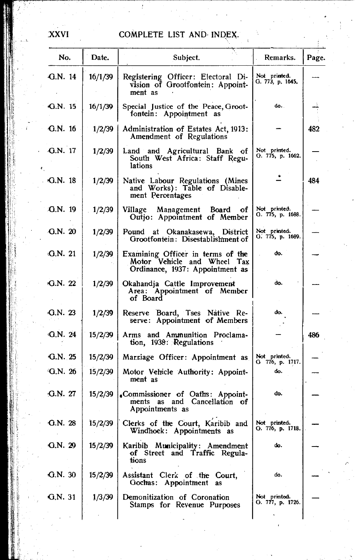| No.       | Date.   | Subject.                                                                                            | Remarks.                         | Page. |
|-----------|---------|-----------------------------------------------------------------------------------------------------|----------------------------------|-------|
| $G.N.$ 14 | 16/1/39 | Registering Officer: Electoral Di-<br>vision of Grootfontein: Appoint-<br>ment as                   | Not primted.<br>G. 773, p. 1645. |       |
| G.N. 15   | 16/1/39 | Special Justice of the Peace, Groot-<br>fontein: Appointment as                                     | do.                              |       |
| $G.N.$ 16 | 1/2/39  | Administration of Estates Act, 1913:<br>Amendment of Regulations                                    |                                  | 482   |
| G.N. 17   | 1/2/39  | Land and Agricultural Bank of<br>South West Africa: Staff Regu-<br>lations                          | Not printed.<br>G. 775, p. 1662. |       |
| $G.N.$ 18 | 1/2/39  | Native Labour Regulations (Mines<br>and Works): Table of Disable-<br>ment Percentages               |                                  | 484   |
| G.N. 19   | 1/2/39  | Management Board<br>οf<br>Village<br>Outjo: Appointment of Member                                   | Not printed.<br>O. 775, p. 1688. |       |
| G.N. 20   | 1/2/39  | Pound at Okanakasewa, District<br>Grootfontein: Disestablishment of                                 | Not printed.<br>G. 775, p. 1689. |       |
| G.N.21    | 1/2/39  | Examining Officer in terms of the<br>Motor Vehicle and Wheel Tax<br>Ordinance, 1937: Appointment as | do.                              |       |
| G.N. 22   | 1/2/39  | Okahandja Cattle Improvement<br>Area: Appointment of Member<br>of Board                             | do.                              |       |
| G.N.23    | 1/2/39  | Reserve Board, Tses Native Re-<br>serve: Appointment of Members                                     | do.                              |       |
| G.N. 24   | 15/2/39 | Arms and Ammunition Proclama-<br>tion, 1938: Regulations                                            |                                  | 486   |
| G.N.25    | 15/2/39 | Marriage Officer: Appointment as                                                                    | Not printed.<br>G 776, p. 1717.  |       |
| 4G.N. 26  | 15/2/39 | Motor Vehicle Authority: Appoint-<br>ment as                                                        | do.                              |       |
| G.N. 27   | 15/2/39 | .Commissioner of Oaths: Appoint-<br>ments as and Cancellation of<br>Appointments as                 | db.                              |       |
| G.N. 28   | 15/2/39 | Clerks of the Court, Karibib and<br>Windhoek: Appointments as                                       | Not printed.<br>G. 776, p. 1718. |       |
| G.N. 29   | 15/2/39 | Karibib Municipality: Amendment<br>of Street and Traffic Regula-<br>tions                           | đο.                              |       |
| G.N.30    | 15/2/39 | Assistant Clerk of the Court,<br>Gochas: Appointment<br>as                                          | do.                              |       |
| G.N. 31   | 1/3/39  | Demonitization of Coronation<br>Stamps for Revenue Purposes                                         | Not printed.<br>G. 777, p. 1726. |       |
|           |         |                                                                                                     |                                  |       |

**XXVI**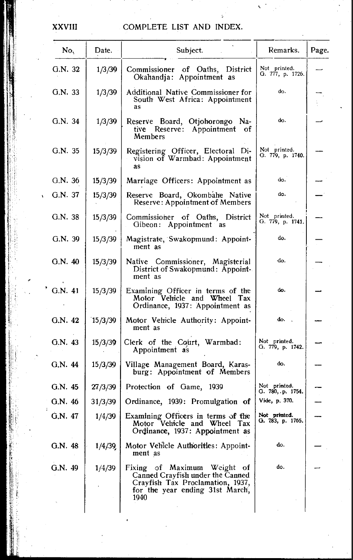| No.     | Date.   | Subject.                                                                                                                                       | Remarks.                         | Page. |
|---------|---------|------------------------------------------------------------------------------------------------------------------------------------------------|----------------------------------|-------|
| G.N. 32 | 1/3/39  | Commissioner of Oaths, District<br>Okahandja: Appointment as                                                                                   | Not printed.<br>G. 777, p. 1726. |       |
| G.N. 33 | 1/3/39  | Additional Native Commissioner for<br>South West Africa: Appointment<br>as                                                                     | do.                              |       |
| G.N. 34 | 1/3/39  | Reserve Board, Otjohorongo Na-<br><b>Reserve:</b><br>Appointment of<br>tive :<br>Members                                                       | do.                              |       |
| G.N. 35 | 15/3/39 | Registering Officer, Electoral Di-<br>vision of Warmbad: Appointment<br>as                                                                     | Not printed.<br>G. 779, p. 1740. |       |
| G.N. 36 | 15/3/39 | Marriage Officers: Appointment as                                                                                                              | do.                              |       |
| G.N. 37 | 15/3/39 | Reserve Board, Okombahe Native<br><b>Reserve: Appointment of Members</b>                                                                       | do.                              |       |
| G.N. 38 | 15/3/39 | Commissioner of Oaths, District<br>Gibeon: Appointment as                                                                                      | Not printed.<br>G. 779, p. 1741. |       |
| G.N. 39 | 15/3/39 | Magistrate, Swakopmund: Appoint-<br>ment as                                                                                                    | do.                              |       |
| G.N. 40 | 15/3/39 | Native Commissioner, Magisterial<br>District of Swakopmund: Appoint-<br>ment as                                                                | đo.                              |       |
| G.N. 41 | 15/3/39 | Examining Officer in terms of the<br>Motor Vehicle and Wheel Tax<br>Ordinance, 1937: Appointment as                                            | do.                              |       |
| G.N. 42 | 15/3/39 | Motor Vehicle Authority: Appoint-<br>ment as                                                                                                   | do.                              |       |
| G.N. 43 | 15/3/39 | Clerk of the Court, Warmbad:<br>Appointment as                                                                                                 | Not primted.<br>G. 779, p. 1742. |       |
| G.N. 44 | 15/3/39 | Village Management Board, Karas-<br>burg: Appointment of Members                                                                               | do.                              |       |
| G.N. 45 | 27/3/39 | Protection of Game, 1939                                                                                                                       | Not printed.<br>G. 780, p. 1754. |       |
| G.N. 46 | 31/3/39 | Ordinance, 1939: Promulgation of                                                                                                               | Vide, p. 370.                    |       |
| G.N. 47 | 1/4/39  | Examining Officers in terms of the<br>Motor Vehicle and Wheel<br>Tax<br>Ordinance, 1937: Appointment as                                        | Not printed.<br>G. 783, p. 1765. |       |
| G.N. 48 | 1/4/39  | Motor Vehicle Authorities: Appoint-<br>ment as                                                                                                 | do.                              |       |
| G.N. 49 | 1/4/39  | Fixing of Maximum Weight of<br>Canned Crayfish under the Canned<br>Crayfish Tax Proclamation, 1937,<br>for the year ending 31st March,<br>1940 | do.                              |       |

XXVIII

Contact .

ふり シンプラ 島本

againn.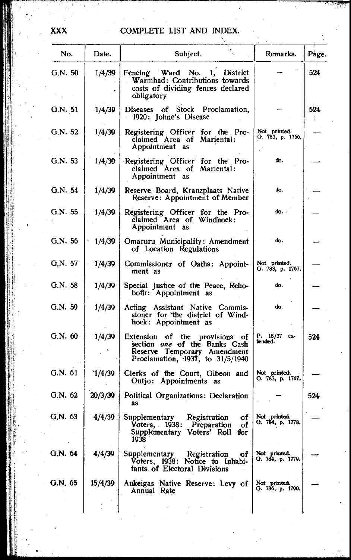| No.     | Date.   | Subject.                                                                                                                                | Remarks.                         | Page. |
|---------|---------|-----------------------------------------------------------------------------------------------------------------------------------------|----------------------------------|-------|
| G.N.50  | 1/4/39  | Fencing Ward No. 1, District<br>Warmbad: Contributions towards<br>costs of dividing fences declared<br>obligatory                       |                                  | 524   |
| G.N. 51 | 1/4/39  | Diseases of Stock Proclamation,<br>1920: Johne's Disease                                                                                |                                  | 524   |
| G.N. 52 | 1/4/39  | Registering Officer for the Pro-<br>claimed Area of Mariental:<br>Appointment as                                                        | Not printed.<br>G. 783, p. 1766. |       |
| G.N. 53 | 1/4/39  | Registering Officer for the Pro-<br>claimed Area of Mariental:<br>Appointment as                                                        | do.                              |       |
| G.N. 54 | 1/4/39  | Reserve Board, Kranzplaats Native<br>Reserve: Appointment of Member                                                                     | do.                              |       |
| G.N. 55 | 1/4/39  | Registering Officer for the Pro-<br>claimed Area of Windhoek:<br>Appointment as                                                         | do. .                            |       |
| G.N. 56 | 1/4/39  | Omaruru Municipality: Amendment<br>of Location Regulations                                                                              | do.                              |       |
| G.N. 57 | 1/4/39  | Commissioner of Oaths: Appoint-<br>ment as                                                                                              | Not printed.<br>O. 783, p. 1767. |       |
| G.N. 58 | 1/4/39  | Special Justice of the Peace, Reho-<br>both: Appointment as                                                                             | do.                              |       |
| G.N. 59 | 1/4/39  | Acting Assistant Native Commis-<br>sioner for the district of Wind-<br>hoek: Appointment as                                             | do.                              |       |
| G.N. 60 | 1/4/39  | Extension of the provisions of<br>section one of the Banks Cash<br>Reserve Temporary Amendment<br>Proclamation, $1937$ , to $31/5/1940$ | P. 18/37<br>ex-<br>tended.       | 524   |
| G.N. 61 | `1/4/39 | Clerks of the Court, Gibeon and<br>Outjo: Appointments as                                                                               | Not printed.<br>G. 783, p. 1767. |       |
| G.N. 62 | 20/3/39 | Political Organizations: Declaration<br>as                                                                                              |                                  | 524   |
| G.N. 63 | 4/4/39  | Supplementary<br>Registration<br>of<br>Voters, 1938: Preparation of<br>Supplementary Voters' Roll for<br>1938                           | Not printed.<br>G. 784, p. 1778. |       |
| G.N. 64 | 4/4/39  | Supplementary<br>Registration<br>оf<br>Voters, 1938: Notice to Inhabi-<br>tants of Electoral Divisions                                  | Not printed.<br>G. 784, p. 1779. |       |
| G.N. 65 | 15/4/39 | Aukeigas Native Reserve: Levy of<br>Annual Rate                                                                                         | Not primted.<br>O. 786, p. 1790. |       |
|         |         |                                                                                                                                         |                                  |       |

**XXX**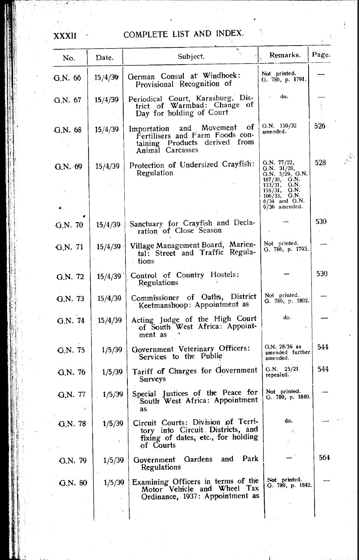| No.     | Date.   | Subject.                                                                                                                  | Remarks.                                                                                                                                                                    | Page. |
|---------|---------|---------------------------------------------------------------------------------------------------------------------------|-----------------------------------------------------------------------------------------------------------------------------------------------------------------------------|-------|
| G.N. 66 | 15/4/39 | German Consul at Windhoek:<br>Provisional Recognition of                                                                  | Not printed.<br>G. 786, p. 1791.                                                                                                                                            |       |
| G.N. 67 | 15/4/39 | Periodical Court, Karasburg, District of Warmbad: Change of<br>Day for holding of Court                                   | do.                                                                                                                                                                         |       |
| G.N. 68 | 15/4/39 | Movement of<br>and<br>Importation<br>Fertilisers and Farm Foods con-<br>taining Products derived from<br>Animal Carcasses | G.N. $150/32$<br>amended.                                                                                                                                                   | 526   |
| G.N. 69 | 15/4/39 | Protection of Undersized Crayfish:<br>Regulation                                                                          | G.N. 77/22,<br>G.N. 31/28,<br>G.N. 3/29, G.N.<br>$187/30, \quad \text{G.N.}$<br>G.N.<br>133/31,<br>155/31,<br>G.N.<br>$106/33$ , G.N.<br>$6/34$ and $G.N.$<br>9/36 amended. | 528   |
| G.N. 70 | 15/4/39 | Sanctuary for Crayfish and Decla-<br>ration of Close Season                                                               |                                                                                                                                                                             | 530   |
| G.N. 71 | 15/4/39 | Village Management Board, Marien-<br>tal: Street and Traffic Regula-<br>tions -                                           | Not printed.<br>G. 786, p. 1793.                                                                                                                                            |       |
| G.N. 72 | 15/4/39 | Control of Country Hostels:<br>Regulations                                                                                |                                                                                                                                                                             | 530   |
| G.N. 73 | 15/4/39 | Commissioner of Oaths, District<br>Keetmanshoop: Appointment as                                                           | Not printed.<br>Q. 786, p. 1802.                                                                                                                                            |       |
| G.N. 74 | 15/4/39 | Acting Judge of the High Court<br>of South West Africa: Appoint-<br>ment as                                               | do.                                                                                                                                                                         |       |
| G.N. 75 | 1/5/39  | Government Veterinary Officers:<br>Services to the Public                                                                 | $G.N. 28/36$ as<br>amended further<br>amended.                                                                                                                              | 544   |
| G.N.76  | 1/5/39  | Tariff of Charges for Government<br>Surveys                                                                               | G.N. 25/21<br>repealed.                                                                                                                                                     | 544   |
| G.N. 77 | 1/5/39  | Special Justices of the Peace for<br>South West Africa: Appointment<br>as                                                 | Not printed.<br>G. 789, p. 1840.                                                                                                                                            |       |
| G.N. 78 | 1/5/39  | Circuit Courts: Division of Terri-<br>tory into Circuit Districts, and<br>fixing of dates, etc., for holding<br>of Courts | do.                                                                                                                                                                         |       |
| G.N. 79 | 1/5/39  | Park<br>Gardens<br>and<br>Government<br>Regulations                                                                       |                                                                                                                                                                             | 564   |
| G.N. 80 | 1/5/39  | Examining Officers in terms of the<br>Motor Vehicle and Wheel Tax<br>Ordinance, 1937: Appointment as                      | Not printed.<br>G. 789, p. 1842.                                                                                                                                            |       |
|         |         |                                                                                                                           |                                                                                                                                                                             |       |

**XXXII**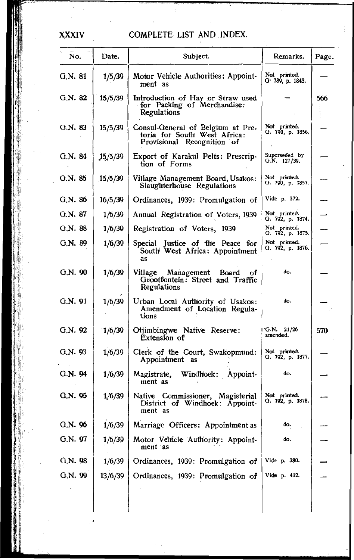| No.     | Date.   | Subject.                                                                                        | Remarks.                                     | Page. |
|---------|---------|-------------------------------------------------------------------------------------------------|----------------------------------------------|-------|
| G.N. 81 | 1/5/39  | Motor Vehicle Authorities: Appoint-<br>ment as                                                  | Not printed.<br>G <sup>.</sup> 789, p. 1843. |       |
| Q.N. 82 | 15/5/39 | Introduction of Hay or Straw used<br>for Packing of Merchandise:<br>Regulations                 |                                              | 566   |
| G.N. 83 | 15/5/39 | Consul-General of Belgium at Pre-<br>toria for South West Africa:<br>Provisional Recognition of | Not printted.<br>G. 790, p. 1856.            |       |
| G.N. 84 | 15/5/39 | Export of Karakul Pelts: Prescrip-<br>tion of Forms                                             | Superseded by<br>G.N. 127/39.                |       |
| G.N. 85 | 15/5/39 | Village Management Board, Usakos:<br>Slaughterhouse Regulations                                 | Not printed.<br>G. 790, p. 1857.             |       |
| G.N. 86 | 16/5/39 | Ordinances, 1939: Promulgation of                                                               | Vide p. 372.                                 |       |
| G.N. 87 | 1/6/39  | Annual Registration of Voters, 1939                                                             | Not printed.<br>G. 792, p. 1874.             |       |
| G.N. 88 | 1/6/39  | Registration of Voters, 1939                                                                    | Not primted.<br>G. 792, p. 1875.             |       |
| G.N. 89 | 1/6/39  | Special Justice of the Peace for<br>South West Africa: Appointment<br>as                        | Not printted.<br>G. 792, p. 1876.            |       |
| Q.N. 90 | 1/6/39  | Village<br>Management<br>Board of<br>Grootfontein: Street and Traffic<br>Regulations            | do.                                          |       |
| G.N. 91 | 1/6/39  | Urban Local Authority of Usakos:<br>Amendment of Location Regula-<br>tions                      | do.                                          |       |
| G.N. 92 | 1/6/39  | Otjimbingwe Native Reserve:<br>Extension of                                                     | G.N. $21/26$<br>amended.                     | 570   |
| G.N. 93 | 1/6/39  | Clerk of the Court, Swakopmund:<br>Appointment as                                               | Not printed.<br>G. 792, p. 1877.             |       |
| G.N. 94 | 1/6/39  | Windhoek: Appoint-<br>Magistrate,<br>ment as                                                    | do.                                          |       |
| G.N. 95 | 1/6/39  | Native Commissioner, Magisterial<br>District of Windhoek: Appoint-<br>ment as                   | Not primted.<br>G. 792, p. 1878.             |       |
| G.N. 96 | 1/6/39  | Marriage Officers: Appointment as                                                               | do.                                          |       |
| G.N. 97 | 1/6/39  | Motor Vehicle Authority: Appoint-<br>ment as                                                    | do.                                          |       |
| G.N.98  | 1/6/39  | Ordinances, 1939: Promulgation of                                                               | Vide p. 380.                                 |       |
| G.N. 99 | 13/6/39 | Ordinances, 1939: Promulgation of                                                               | Vide p. 412.                                 |       |
|         |         |                                                                                                 |                                              |       |

XXXIV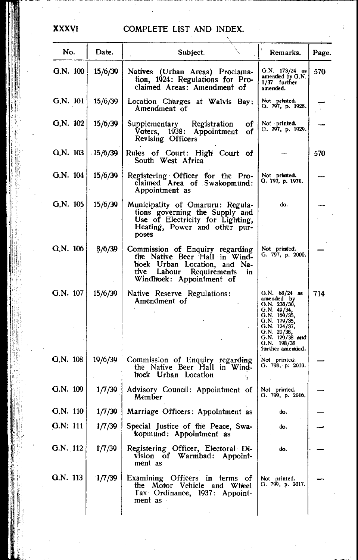| No.                | Date.   | Subject.                                                                                                                                                       | Remarks.                                                                                                                                                                           | Page. |
|--------------------|---------|----------------------------------------------------------------------------------------------------------------------------------------------------------------|------------------------------------------------------------------------------------------------------------------------------------------------------------------------------------|-------|
| G.N. 100           | 15/6/39 | Natives (Urban Areas) Proclama-<br>tion, 1924: Regulations for Pro-<br>claimed Areas: Amendment of                                                             | O.N. 173/24 as<br>amended by G.N.<br>1/37 further<br>amended.                                                                                                                      | 570   |
| G.N. $101$ 15/6/39 |         | Location Charges at Walvis Bay:<br>Amendment of                                                                                                                | Not prinwted.<br>G. 797, p. 1928.                                                                                                                                                  |       |
| G.N. 102           | 15/6/39 | Supplementary Registration<br>Voters, 1938: Appointment<br>оť<br>of<br><b>Revising Officers</b>                                                                | Not printed.<br>G. 797, p. 1929.                                                                                                                                                   |       |
| G.N. 103           | 15/6/39 | Rules of Court: High Court of<br>South West Africa                                                                                                             |                                                                                                                                                                                    | 570   |
| G.N. 104           | 15/6/39 | Registering Officer for the Pro-<br>claimed Area of Swakopmund:<br>Appointment as                                                                              | Not printed.<br>G. 797, p. 1976.                                                                                                                                                   |       |
| G.N. 105           | 15/6/39 | Municipality of Omaruru: Regula-<br>tions governing the Supply and<br>Use of Electricity for Lighting,<br>Heating, Power and other pur-<br>poses               | do.                                                                                                                                                                                |       |
| G.N. 106           | 8/6/39  | Commission of Enquiry regarding<br>the Native Beer Hall in Wind-<br>hoek Urban Location, and Na-<br>tive Labour Requirements<br>in<br>Windhoek: Appointment of | Not primuted.<br>G. 797, p. 2000.                                                                                                                                                  |       |
| G.N. 107           | 15/6/39 | Native Reserve Regulations:<br>Amendment of                                                                                                                    | $G.N. 68/24$ as<br>ammended by<br>G.N. 238/30,<br>G.N. 49/34,<br>G.N. 169/35,<br>G.N. 179/35,<br>G.N. 124/37,<br>O.N. 20/38,<br>G.N. 129/38 and<br>G.N. 198/38<br>further amended. | 714   |
| G.N. 108           | 19/6/39 | Commission of Enquiry regarding<br>the Native Beer Hall in Wind-<br>hoek Urban Location                                                                        | Not primited.<br>G. 798, p. 2010.                                                                                                                                                  |       |
| Q.N. 109           | 1/7/39  | Advisory Council: Appointment of<br>Member                                                                                                                     | Not printed.<br>G. 799, p. 2016.                                                                                                                                                   |       |
| Q.N. 110           | 1/7/39  | Marriage Officers: Appointment as                                                                                                                              | do.                                                                                                                                                                                |       |
| G.N: 111           | 1/7/39  | Special Justice of the Peace, Swa-<br>kopmund: Appointment as                                                                                                  | do.                                                                                                                                                                                |       |
| G.N. 112           | 1/7/39  | Registering Officer, Electoral Di-<br>vision of Warmbad: Appoint-<br>ment as                                                                                   | do.                                                                                                                                                                                |       |
| G.N. 113           | 1/7/39  | Examining Officers in terms of<br>the Motor Vehicle and Wheel<br>Tax Ordinance, 1937: Appoint-<br>ment as                                                      | Not printed.<br>G. 799, p. 2017.                                                                                                                                                   |       |
|                    |         |                                                                                                                                                                |                                                                                                                                                                                    |       |

#### XXXVI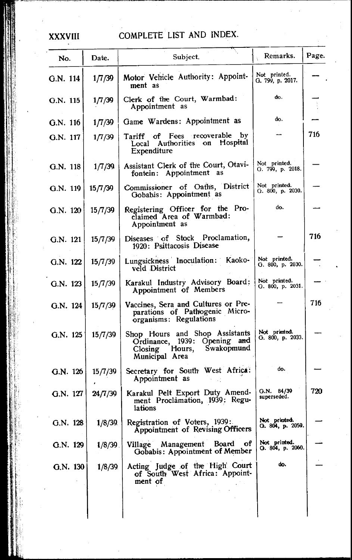### **XXXVIII**

| No.      | Date.      | Subject.                                                                                                            | Remarks.                         | Page. |
|----------|------------|---------------------------------------------------------------------------------------------------------------------|----------------------------------|-------|
| G.N. 114 | 1/7/39     | Motor Vehicle Authority: Appoint-<br>ment as                                                                        | Not printed.<br>G. 799, p. 2017. |       |
| G.N. 115 | 1/7/39     | Clerk of the Court, Warmbad:<br>Appointment as                                                                      | do.                              |       |
| G.N. 116 | 1/7/39     | Game Wardens: Appointment as                                                                                        | do.                              |       |
| G.N. 117 | 1/7/39     | Tariff of Fees recoverable by<br>Local Authorities on Hospital<br>Expenditure                                       |                                  | 716   |
| G.N. 118 | 1/7/39     | Assistant Clerk of the Court, Otavi-<br>fontein: Appointment as                                                     | Not printed.<br>G. 799, p. 2018. |       |
| G.N. 119 | 15/7/39    | Commissioner of Oaths, District<br>Gobabis: Appointment as                                                          | Not printed.<br>G. 800, p. 2030. |       |
| G.N. 120 | 15/7/39    | Registering Officer for the Pro-<br>claimed Area of Warmbad:<br>Appointment as                                      | do.                              |       |
| G.N. 121 | 15/7/39    | Diseases of Stock Proclamation,<br>1920: Psittacosis Disease                                                        |                                  | 716   |
| G.N. 122 | 15/7/39    | Lungsickness Inoculation: Kaoko-<br>veld District                                                                   | Not printed.<br>G. 800, p. 2030. |       |
| G.N. 123 | 15/7/39    | Karakul Industry Advisory Board:<br>Appointment of Members                                                          | Not printed.<br>G. 800, p. 2031. |       |
| G.N. 124 | 15/7/39    | Vaccines, Sera and Cultures or Pre-<br>parations of Pathogenic Micro-<br>organisms: Regulations                     |                                  | 716   |
| G.N. 125 | 15/7/39    | Shop Hours and Shop Assistants<br>Ordinance, 1939: Opening and<br>Hours,<br>Swakopmund<br>Closing<br>Municipal Area | Not printed.<br>G. 800, p. 2033. |       |
| G.N. 126 | 15/7/39    | Secretary for South West Africa:<br>Appointment as                                                                  | do.                              |       |
| G.N. 127 | 24/7/39    | Karakul Pelt Export Duty Amend-<br>ment Proclamation, 1939: Regu-<br>lations                                        | G.N. 84/39<br>superseded.        | 720   |
| G.N. 128 | 1/8/39     | Registration of Voters, 1939:<br>Appointment of Revising Officers                                                   | Not printed.<br>О. 804, р. 2059. |       |
| G.N. 129 | $1/8/39$ . | Village Management Board of<br>Gobabis: Appointment of Member                                                       | Not printed.<br>Q. 804, p. 2060. |       |
| G.N. 130 | 1/8/39     | Acting Judge of the High Court<br>of South West Africa: Appoint-<br>ment of                                         | do.                              |       |
|          |            |                                                                                                                     |                                  |       |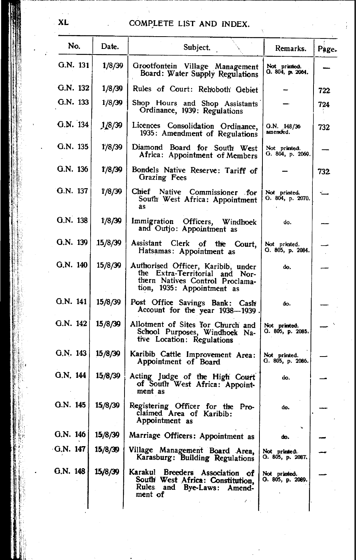| No.       | Date.   | Subject.                                                                                                                              | Remarks.                         | Page. |
|-----------|---------|---------------------------------------------------------------------------------------------------------------------------------------|----------------------------------|-------|
| G.N. 131  | 1/8/39  | Grootfontein Village Management<br>Board: Water Supply Regulations                                                                    | Not primted.<br>O. 804, p. 2064. |       |
| G.N. 132  | 1/8/39  | Rules of Court: Rehoboth Gebiet                                                                                                       |                                  | 722.  |
| G.N. 133  | 1/8/39  | Shop Hours and Shop Assistants<br>Ordinance, 1939: Regulations                                                                        |                                  | 724   |
| G.N. 134  | 1/8/39  | Licences Consolidation Ordinance,<br>1935: Amendment of Regulations                                                                   | G.N. 148/36<br>amended.          | 732   |
| G.N. 135  | 1/8/39  | Diamond Board for South West<br>Africa: Appointment of Members                                                                        | Not primted.<br>G. 804, p. 2069. |       |
| G.N. 136  | 1/8/39  | Bondels Native Reserve: Tariff of<br>Grazing Fees                                                                                     |                                  | 732   |
| G.N. 137  | 1/8/39  | Chief Native Commissioner for<br>South West Africa: Appointment<br>as                                                                 | Not printed.<br>G. 804, p. 2070. |       |
| G.N. 138  | 1/8/39  | Immigration Officers, Windhoek<br>and Outjo: Appointment as                                                                           | do.                              |       |
| G.N. 139  | 15/8/39 | Assistant<br>Clerk of the Court,<br>Hatsamas: Appointment as                                                                          | Not printed.<br>G. 805, p. 2084. |       |
| G.N. 140  | 15/8/39 | Authorised Officer, Karibib, under<br>the Extra-Territorial and Nor-<br>thern Natives Control Proclama-<br>tion, 1935: Appointment as | do.                              |       |
| G.N. 141  | 15/8/39 | Post Office Savings Bank: Cash<br>Account for the year 1938-1939.                                                                     | do.                              |       |
| G.N. 142  | 15/8/39 | Allotment of Sites for Church and<br>School Purposes, Windhoek Na-<br>tive Location: Regulations                                      | Not printed.<br>G. 805, p. 2085. |       |
| G.N. 143  | 15/8/39 | Karibib Cattle Improvement Area:<br>Appointment of Board                                                                              | Not printed.<br>G. 805, p. 2086. |       |
| G.N. 144  | 15/8/39 | Acting Judge of the High Court<br>of South West Africa: Appoint-<br>ment as                                                           | do.                              |       |
| G.N. 145  | 15/8/39 | Registering Officer for the Pro-<br>claimed Area of Karibib:<br>Appointment as                                                        | do.                              |       |
| G.N. 146  | 15/8/39 | Marriage Officers: Appointment as                                                                                                     | do.                              |       |
| G.N. 147  | 15/8/39 | Village Management Board Area,<br>Karasburg: Building Regulations                                                                     | Not primted.<br>О. 805, р. 2087. |       |
| 0. N. 148 | 15/8/39 | Karakul Breeders Association of<br>South West Africa: Constitution,<br>Rules and Bye-Laws:<br>Amend-<br>ment of                       | Not printed.<br>O. 805, p. 2089. |       |
|           |         | $\mathcal{E} \rightarrow$                                                                                                             |                                  |       |

XL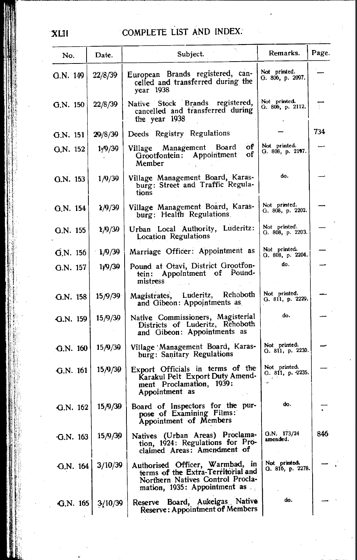| No.                      | Date.                | Subject.                                                                                                                                  | Remarks.                         | Page. |
|--------------------------|----------------------|-------------------------------------------------------------------------------------------------------------------------------------------|----------------------------------|-------|
| G.N. 149                 | 22/8/39              | European Brands registered, can-<br>celled and transferred during the<br>year 1938                                                        | Not printed.<br>G. 806, p. 2097. |       |
| G.N. 150                 | 22/8/39              | Native Stock Brands registered,<br>cancelled and transferred during<br>the year 1938                                                      | Not printed.<br>G. 806, p. 2112. |       |
| G.N. 151                 | 29/8/39              | Deeds Registry Regulations                                                                                                                |                                  | 734   |
| G.N. 152                 | 1 <sub>1</sub> /9/39 | оf<br>Village Management Board<br>οf<br>Appointment<br>Grootfontein:<br>Member                                                            | Not printed.<br>G. 808, p. 2197. |       |
| G.N. 153                 | 1/9/39               | Village Management Board, Karas-<br>burg: Street and Traffic Regula-<br>tions                                                             | do.                              |       |
| G.N. 154                 | 1/9/39               | Village Management Board, Karas-<br>burg: Health Regulations                                                                              | Not printed.<br>G. 808, p. 2202. |       |
| G.N. 155                 | 1/9/39               | Urban Local Authority, Luderitz:<br>Location Regulations                                                                                  | Not printed.<br>G. 808, p. 2203. |       |
| $\widetilde{G}$ . N. 156 | 1/9/39               | Marriage Officer: Appointment as                                                                                                          | Not printed.<br>G. 808, p. 2204. |       |
| $G.N.$ 157               | 1/9/39               | Pound at Otavi, District Grootfon-<br>tein: Appointment of Pound-<br>mistress                                                             | do.                              |       |
| $G.N.$ 158               | 15/9/39              | Magistrates, Luderitz, Rehoboth<br>and Gibeon: Appointments as                                                                            | Not printed.<br>G. 811, p. 2229. |       |
| G.N. 159                 | 15/9/39              | Native Commissioners, Magisterial<br>Districts of Luderitz, Rehoboth<br>and Gibeon: Appointments as                                       | do.                              |       |
| $G.N.$ 160               | 15/9/39              | Village Management Board, Karas-<br>burg: Sanitary Regulations                                                                            | Not printed.<br>G. 811, p. 2230. |       |
| G.N. 161                 | 15/9/30              | Export Officials in terms of the<br>Karakul Pelt Export Duty Amend-<br>ment Proclamation, 1939:<br>Appointment as                         | Not printed.<br>G. 811, p. 2235. |       |
| $G.N.$ 162               | 15/9/39              | Board of Inspectors for the pur-<br>pose of Examining Films:<br>Appointment of Members                                                    | do.                              |       |
| G.N. 163                 | 15/9/39              | Natives (Urban Areas) Proclama-<br>tion, 1924: Regulations for Pro-<br>claimed Areas: Amendment of                                        | G.N. 173/24<br>amended.          | 846   |
| $\cdot$ G.N. 164         | 3/10/39              | Authorised Officer, Warmbad, in<br>terms of the Extra-Territorial and<br>Northern Natives Control Procla-<br>mation, 1935: Appointment as | Not printed.<br>Q. 816, p. 2278. |       |
| G.N. 165                 | 3/10/39              | Reserve Board, Aukeigas Native<br>Reserve: Appointment of Members                                                                         | do.                              |       |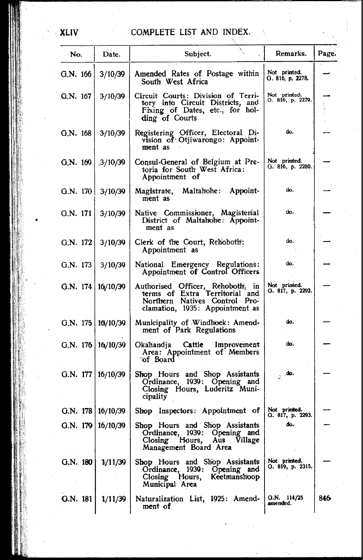| No.                      | Date.               | Subject.                                                                                                                               | Remarks.                         | Page. |
|--------------------------|---------------------|----------------------------------------------------------------------------------------------------------------------------------------|----------------------------------|-------|
| G.N. 166                 | 3/10/39             | Amended Rates of Postage within<br>South West Africa                                                                                   | Not printed.<br>G. 816, p. 2278. |       |
| G.N. 167                 | 3/10/39             | Circuit Courts: Division of Terri-<br>tory into Circuit Districts, and<br>Fixing of Dates, etc., for hol-<br>ding of Courts            | Not printed.<br>G. 816, p. 2279. |       |
| G.N. 168                 | 3/10/39             | Registering Officer, Electoral Di-<br>vision of Otjiwarongo: Appoint-<br>ment as                                                       | do.                              |       |
| G, N. $169$ , $3/10/39$  |                     | Consul-General of Belgium at Pre-<br>toria for South West Africa:<br>Appointment of                                                    | Not primted.<br>G. 816, p. 2280. |       |
| G.N. 170   3/10/39       |                     | Magistrate, Maltahohe: Appoint-<br>ment as                                                                                             | do.                              |       |
| G.N. 171                 | 3/10/39             | Native Commissioner, Magisterial<br>District of Maltahohe: Appoint-<br>ment as                                                         | do.                              |       |
| G.N. 172                 | 3/10/39             | Clerk of the Court, Rehoboth:<br>Appointment as                                                                                        | do.                              |       |
| G.N. 173                 | 3/10/39             | National Emergency Regulations:<br>Appointment of Control Officers                                                                     | do.                              |       |
| G.N. $174   16/10/39$    |                     | Authorised Officer, Rehoboth, in<br>terms of Extra Territorial and<br>Northern Natives Control Pro-<br>clamation, 1935: Appointment as | Not printed.<br>G. 817, p. 2292. |       |
| G.N. 175   16/10/39      |                     | Municipality of Windhoek: Amend-<br>ment of Park Regulations                                                                           | do.                              |       |
| G.N. 176   $16/10/39$    |                     | Cattle Improvement<br>Okahandja<br>Area: Appointment of Members<br>°of Board                                                           | do.                              |       |
| G.N. 177   $16/10/39$    |                     | Shop Hours and Shop Assistants<br>Ordinance, 1939: Opening and<br>Closing Hours, Luderitz Muni-<br>cipality                            | $\sim$ do.                       |       |
| G.N. $178 \mid 16/10/39$ |                     | Shop Inspectors: Appointment of                                                                                                        | Not printed.<br>G. 817, p. 2293. |       |
|                          | G.N. 179   16/10/39 | Shop Hours and Shop Assistants<br>Ordinance, 1939: Opening and<br>Closing Hours,<br>Aus<br>Village<br>Management Board Area            | dio.                             |       |
| G.N. 180                 | 1/11/39             | Shop Hours and Shop Assistants<br>Ordinance, 1939: Opening and<br>Closing Hours, Keetmanshoop<br>Municipal Area                        | Not printed.<br>Q. 819, p. 2315. |       |
| Q.N. 181                 | 1/11/39             | Naturalization List, 1925: Amend-<br>ment of                                                                                           | $Q.N.$ 114/25<br>amended.        | 846   |

. xuv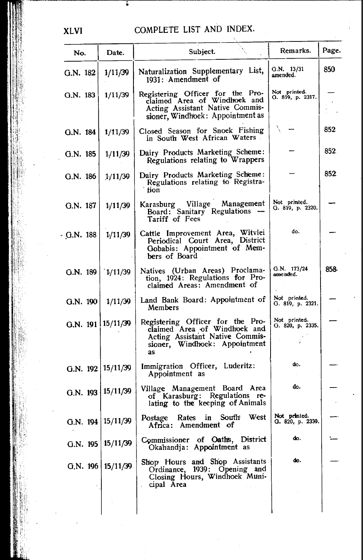| No.               | Date.                 | Subject.                                                                                                                                   | Remarks.                         | Page. |
|-------------------|-----------------------|--------------------------------------------------------------------------------------------------------------------------------------------|----------------------------------|-------|
| G.N. 182          | 1/11/39               | Naturalization Supplementary List,<br>1931: Amendment of                                                                                   | G.N. 13/31<br>amended.           | 850   |
| G.N. 183          | 1/11/39               | Registering Officer for the Pro-<br>claimed Area of Windhoek and<br>Acting Assistant Native Commis-<br>sioner, Windhoek: Appointment as    | Not printed.<br>O. 819, p. 2317. |       |
| G.N. 184          | 1/11/39               | Closed Season for Snoek Fishing<br>in South West African Waters                                                                            |                                  | 852   |
| G.N. 185          | 1/11/39               | Dairy Products Marketing Scheme:<br>Regulations relating to Wrappers                                                                       |                                  | 852.  |
| G.N. 186          | 1/11/39               | Dairy Products Marketing Scheme:<br>Regulations relating to Registra-<br>tion                                                              |                                  | 852   |
| G.N. 187          | 1/11/39               | Karasburg Village Management<br>Board: Sanitary Regulations<br>Tariff of Fees                                                              | Not printed.<br>G. 819, p. 2320. |       |
| G.N. 188          | 1/11/39               | Cattle Improvement Area, Witvlei<br>Periodical Court Area, District<br>Gobabis: Appointment of Mem-<br>bers of Board.                      | do.                              |       |
| G.N. 189          | 1/11/39               | Natives (Urban Areas) Proclama-<br>tion, 1924: Regulations for Pro-<br>claimed Areas: Amendment of                                         | G.N. 173/24<br>amended.          | 858-  |
| G.N. 190          | 1/11/39               | Land Bank Board: Appointment of<br>Members                                                                                                 | Not printed.<br>G. 819, p. 2321. |       |
| G.N. 191 15/11/39 |                       | Registering Officer for the Pro-<br>claimed Area of Windhoek and<br>Acting Assistant Native Commis-<br>sioner, Windhoek: Appointment<br>as | Not printed.<br>G. 820, p. 2335. |       |
|                   | G.N. 192   15/11/39   | Immigration Officer, Luderitz:<br>Appointment as                                                                                           | do.                              |       |
|                   | G.N. 193   15/11/39   | Village Management Board Area<br>of Karasburg: Regulations re-<br>lating to the keeping of Animals                                         | đo.                              |       |
|                   | G.N. 194   15/11/39   | West<br>Rates in South<br>Postage<br>Africa: Amendment of                                                                                  | Not printed.<br>G. 820, p. 2339. |       |
|                   | G.N. 195 15/11/39     | Commissioner of Oaths, District<br>Okahandja: Appointment as                                                                               | do.                              |       |
|                   | G.N. 196   $15/11/39$ | Shop Hours and Shop Assistants<br>Ordinance, 1939: Opening and<br>Closing Hours, Windhoek Muni-<br>cipal Area                              | do.                              |       |
|                   |                       |                                                                                                                                            |                                  |       |

 $\overline{\phantom{a}}$ 

**XLVI**